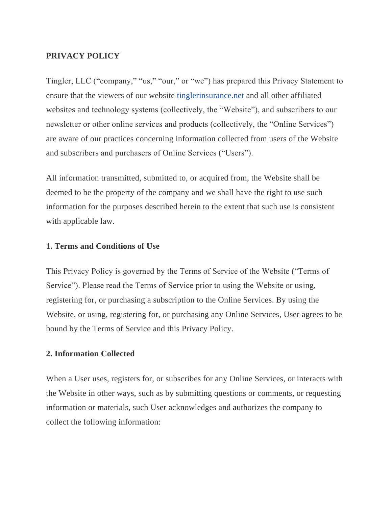# **PRIVACY POLICY**

Tingler, LLC ("company," "us," "our," or "we") has prepared this Privacy Statement to ensure that the viewers of our website [tinglerinsurance.net](http://x.com/) and all other affiliated websites and technology systems (collectively, the "Website"), and subscribers to our newsletter or other online services and products (collectively, the "Online Services") are aware of our practices concerning information collected from users of the Website and subscribers and purchasers of Online Services ("Users").

All information transmitted, submitted to, or acquired from, the Website shall be deemed to be the property of the company and we shall have the right to use such information for the purposes described herein to the extent that such use is consistent with applicable law.

## **1. Terms and Conditions of Use**

This Privacy Policy is governed by the Terms of Service of the Website ("Terms of Service"). Please read the Terms of Service prior to using the Website or using, registering for, or purchasing a subscription to the Online Services. By using the Website, or using, registering for, or purchasing any Online Services, User agrees to be bound by the Terms of Service and this Privacy Policy.

## **2. Information Collected**

When a User uses, registers for, or subscribes for any Online Services, or interacts with the Website in other ways, such as by submitting questions or comments, or requesting information or materials, such User acknowledges and authorizes the company to collect the following information: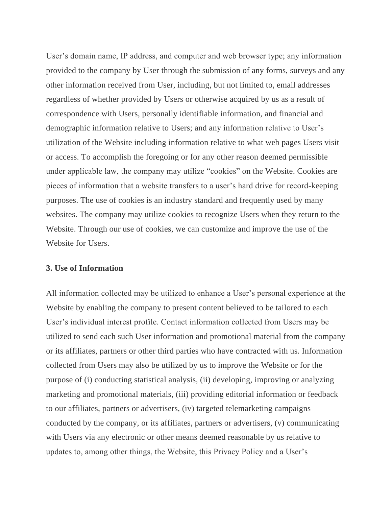User's domain name, IP address, and computer and web browser type; any information provided to the company by User through the submission of any forms, surveys and any other information received from User, including, but not limited to, email addresses regardless of whether provided by Users or otherwise acquired by us as a result of correspondence with Users, personally identifiable information, and financial and demographic information relative to Users; and any information relative to User's utilization of the Website including information relative to what web pages Users visit or access. To accomplish the foregoing or for any other reason deemed permissible under applicable law, the company may utilize "cookies" on the Website. Cookies are pieces of information that a website transfers to a user's hard drive for record-keeping purposes. The use of cookies is an industry standard and frequently used by many websites. The company may utilize cookies to recognize Users when they return to the Website. Through our use of cookies, we can customize and improve the use of the Website for Users.

## **3. Use of Information**

All information collected may be utilized to enhance a User's personal experience at the Website by enabling the company to present content believed to be tailored to each User's individual interest profile. Contact information collected from Users may be utilized to send each such User information and promotional material from the company or its affiliates, partners or other third parties who have contracted with us. Information collected from Users may also be utilized by us to improve the Website or for the purpose of (i) conducting statistical analysis, (ii) developing, improving or analyzing marketing and promotional materials, (iii) providing editorial information or feedback to our affiliates, partners or advertisers, (iv) targeted telemarketing campaigns conducted by the company, or its affiliates, partners or advertisers, (v) communicating with Users via any electronic or other means deemed reasonable by us relative to updates to, among other things, the Website, this Privacy Policy and a User's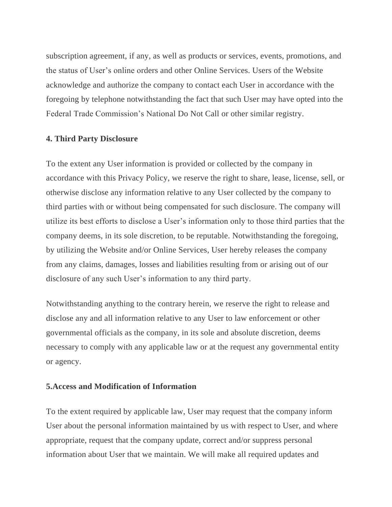subscription agreement, if any, as well as products or services, events, promotions, and the status of User's online orders and other Online Services. Users of the Website acknowledge and authorize the company to contact each User in accordance with the foregoing by telephone notwithstanding the fact that such User may have opted into the Federal Trade Commission's National Do Not Call or other similar registry.

## **4. Third Party Disclosure**

To the extent any User information is provided or collected by the company in accordance with this Privacy Policy, we reserve the right to share, lease, license, sell, or otherwise disclose any information relative to any User collected by the company to third parties with or without being compensated for such disclosure. The company will utilize its best efforts to disclose a User's information only to those third parties that the company deems, in its sole discretion, to be reputable. Notwithstanding the foregoing, by utilizing the Website and/or Online Services, User hereby releases the company from any claims, damages, losses and liabilities resulting from or arising out of our disclosure of any such User's information to any third party.

Notwithstanding anything to the contrary herein, we reserve the right to release and disclose any and all information relative to any User to law enforcement or other governmental officials as the company, in its sole and absolute discretion, deems necessary to comply with any applicable law or at the request any governmental entity or agency.

#### **5.Access and Modification of Information**

To the extent required by applicable law, User may request that the company inform User about the personal information maintained by us with respect to User, and where appropriate, request that the company update, correct and/or suppress personal information about User that we maintain. We will make all required updates and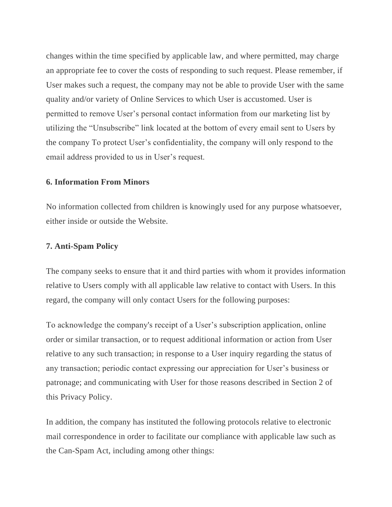changes within the time specified by applicable law, and where permitted, may charge an appropriate fee to cover the costs of responding to such request. Please remember, if User makes such a request, the company may not be able to provide User with the same quality and/or variety of Online Services to which User is accustomed. User is permitted to remove User's personal contact information from our marketing list by utilizing the "Unsubscribe" link located at the bottom of every email sent to Users by the company To protect User's confidentiality, the company will only respond to the email address provided to us in User's request.

#### **6. Information From Minors**

No information collected from children is knowingly used for any purpose whatsoever, either inside or outside the Website.

#### **7. Anti-Spam Policy**

The company seeks to ensure that it and third parties with whom it provides information relative to Users comply with all applicable law relative to contact with Users. In this regard, the company will only contact Users for the following purposes:

To acknowledge the company's receipt of a User's subscription application, online order or similar transaction, or to request additional information or action from User relative to any such transaction; in response to a User inquiry regarding the status of any transaction; periodic contact expressing our appreciation for User's business or patronage; and communicating with User for those reasons described in Section 2 of this Privacy Policy.

In addition, the company has instituted the following protocols relative to electronic mail correspondence in order to facilitate our compliance with applicable law such as the Can-Spam Act, including among other things: